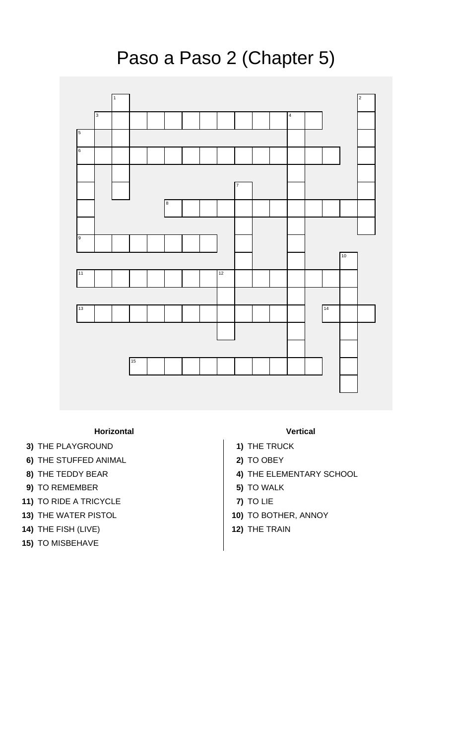## Paso a Paso 2 (Chapter 5)



## **Horizontal Vertical**

- **3)** THE PLAYGROUND **1** 1) THE TRUCK
- **6)** THE STUFFED ANIMAL **2)** TO OBEY
- 
- **9)** TO REMEMBER **5)** TO WALK
- **11)** TO RIDE A TRICYCLE **7)** TO LIE
- **13)** THE WATER PISTOL **10)** TO BOTHER, ANNOY
- **14)** THE FISH (LIVE) **12)** THE TRAIN
- **15)** TO MISBEHAVE

- 
- 
- **8)** THE TEDDY BEAR **4)** THE ELEMENTARY SCHOOL
	-
	-
	-
	-